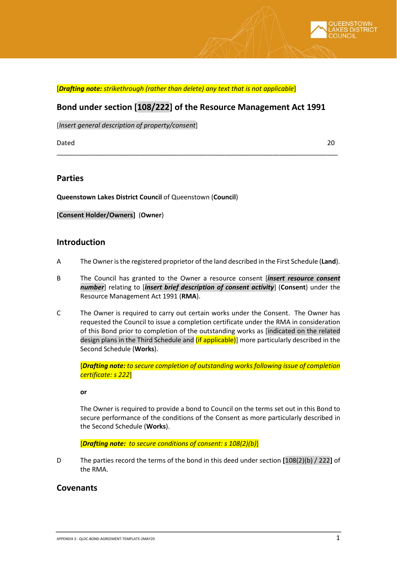

## **Bond under section [108/222] of the Resource Management Act 1991**

\_\_\_\_\_\_\_\_\_\_\_\_\_\_\_\_\_\_\_\_\_\_\_\_\_\_\_\_\_\_\_\_\_\_\_\_\_\_\_\_\_\_\_\_\_\_\_\_\_\_\_\_\_\_\_\_\_\_\_\_\_\_\_\_\_\_\_\_\_\_\_\_\_\_\_\_\_

[*Insert general description of property/consent*]

Dated 20

#### **Parties**

**Queenstown Lakes District Council** of Queenstown (**Council**)

#### **[Consent Holder/Owners]** (**Owner**)

#### **Introduction**

- A The Owner is the registered proprietor of the land described in the First Schedule (**Land**).
- B The Council has granted to the Owner a resource consent [*insert resource consent number*] relating to [*insert brief description of consent activity*] (**Consent**) under the Resource Management Act 1991 (**RMA**).
- C The Owner is required to carry out certain works under the Consent. The Owner has requested the Council to issue a completion certificate under the RMA in consideration of this Bond prior to completion of the outstanding works as [indicated on the related design plans in the Third Schedule and *(if applicable)*] more particularly described in the Second Schedule (**Works**).

[*Drafting note: to secure completion of outstanding works following issue of completion certificate: s 222*]

**or** 

The Owner is required to provide a bond to Council on the terms set out in this Bond to secure performance of the conditions of the Consent as more particularly described in the Second Schedule (**Works**).

[*Drafting note: to secure conditions of consent: s 108(2)(b)*]

D The parties record the terms of the bond in this deed under section **[**108(2)(b) / 222**]** of the RMA.

## **Covenants**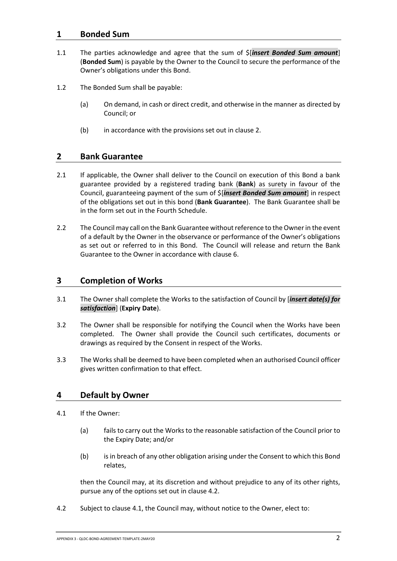## **1 Bonded Sum**

- 1.1 The parties acknowledge and agree that the sum of \$[*insert Bonded Sum amount*] (**Bonded Sum**) is payable by the Owner to the Council to secure the performance of the Owner's obligations under this Bond.
- <span id="page-1-5"></span><span id="page-1-4"></span>1.2 The Bonded Sum shall be payable:
	- (a) On demand, in cash or direct credit, and otherwise in the manner as directed by Council; or
	- (b) in accordance with the provisions set out in clause [2.](#page-1-0)

#### <span id="page-1-0"></span>**2 Bank Guarantee**

- 2.1 If applicable, the Owner shall deliver to the Council on execution of this Bond a bank guarantee provided by a registered trading bank (**Bank**) as surety in favour of the Council, guaranteeing payment of the sum of \$[*insert Bonded Sum amount*] in respect of the obligations set out in this bond (**Bank Guarantee**). The Bank Guarantee shall be in the form set out in the Fourth Schedule.
- 2.2 The Council may call on the Bank Guarantee without reference to the Owner in the event of a default by the Owner in the observance or performance of the Owner's obligations as set out or referred to in this Bond. The Council will release and return the Bank Guarantee to the Owner in accordance with clause [6.](#page-2-0)

## <span id="page-1-3"></span>**3 Completion of Works**

- 3.1 The Owner shall complete the Works to the satisfaction of Council by [*insert date(s) for satisfaction*] (**Expiry Date**).
- 3.2 The Owner shall be responsible for notifying the Council when the Works have been completed. The Owner shall provide the Council such certificates, documents or drawings as required by the Consent in respect of the Works.
- 3.3 The Works shall be deemed to have been completed when an authorised Council officer gives written confirmation to that effect.

## **4 Default by Owner**

- <span id="page-1-2"></span>4.1 If the Owner:
	- (a) fails to carry out the Works to the reasonable satisfaction of the Council prior to the Expiry Date; and/or
	- (b) is in breach of any other obligation arising under the Consent to which this Bond relates,

then the Council may, at its discretion and without prejudice to any of its other rights, pursue any of the options set out in claus[e 4.2.](#page-1-1)

<span id="page-1-1"></span>4.2 Subject to claus[e 4.1,](#page-1-2) the Council may, without notice to the Owner, elect to: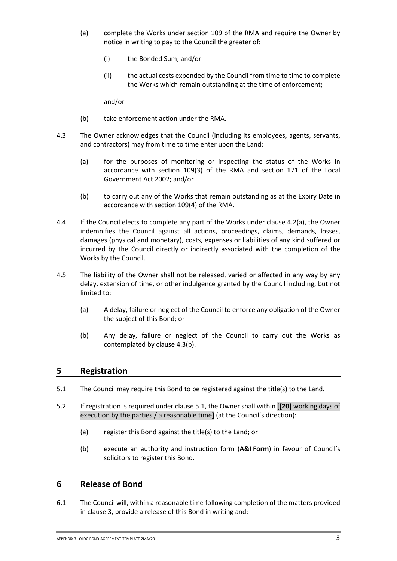- <span id="page-2-1"></span>(a) complete the Works under section 109 of the RMA and require the Owner by notice in writing to pay to the Council the greater of:
	- (i) the Bonded Sum; and/or
	- (ii) the actual costs expended by the Council from time to time to complete the Works which remain outstanding at the time of enforcement;

and/or

- (b) take enforcement action under the RMA.
- 4.3 The Owner acknowledges that the Council (including its employees, agents, servants, and contractors) may from time to time enter upon the Land:
	- (a) for the purposes of monitoring or inspecting the status of the Works in accordance with section 109(3) of the RMA and section 171 of the Local Government Act 2002; and/or
	- (b) to carry out any of the Works that remain outstanding as at the Expiry Date in accordance with section 109(4) of the RMA.
- <span id="page-2-2"></span>4.4 If the Council elects to complete any part of the Works under clause [4.2\(a\),](#page-2-1) the Owner indemnifies the Council against all actions, proceedings, claims, demands, losses, damages (physical and monetary), costs, expenses or liabilities of any kind suffered or incurred by the Council directly or indirectly associated with the completion of the Works by the Council.
- 4.5 The liability of the Owner shall not be released, varied or affected in any way by any delay, extension of time, or other indulgence granted by the Council including, but not limited to:
	- (a) A delay, failure or neglect of the Council to enforce any obligation of the Owner the subject of this Bond; or
	- (b) Any delay, failure or neglect of the Council to carry out the Works as contemplated by clause [4.3\(b\).](#page-2-2)

## <span id="page-2-4"></span>**5 Registration**

- <span id="page-2-3"></span>5.1 The Council may require this Bond to be registered against the title(s) to the Land.
- 5.2 If registration is required under clause [5.1,](#page-2-3) the Owner shall within **[[20]** working days of execution by the parties / a reasonable time**]** (at the Council's direction):
	- (a) register this Bond against the title(s) to the Land; or
	- (b) execute an authority and instruction form (**A&I Form**) in favour of Council's solicitors to register this Bond.

#### <span id="page-2-0"></span>**6 Release of Bond**

6.1 The Council will, within a reasonable time following completion of the matters provided in clause [3,](#page-1-3) provide a release of this Bond in writing and: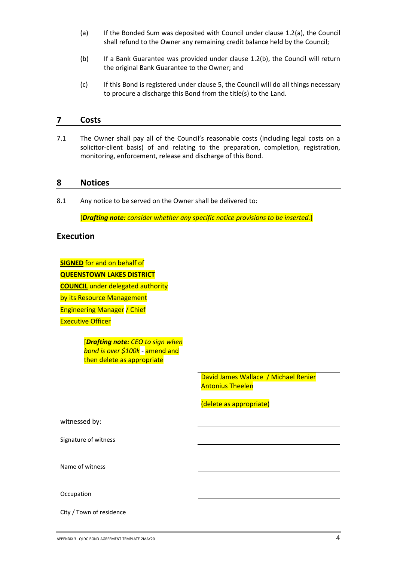- (a) If the Bonded Sum was deposited with Council under clause [1.2\(a\),](#page-1-4) the Council shall refund to the Owner any remaining credit balance held by the Council;
- (b) If a Bank Guarantee was provided under clause [1.2\(b\),](#page-1-5) the Council will return the original Bank Guarantee to the Owner; and
- (c) If this Bond is registered under clause [5,](#page-2-4) the Council will do all things necessary to procure a discharge this Bond from the title(s) to the Land.

#### **7 Costs**

7.1 The Owner shall pay all of the Council's reasonable costs (including legal costs on a solicitor-client basis) of and relating to the preparation, completion, registration, monitoring, enforcement, release and discharge of this Bond.

#### **8 Notices**

8.1 Any notice to be served on the Owner shall be delivered to:

[*Drafting note: consider whether any specific notice provisions to be inserted.*]

#### **Execution**

**SIGNED** for and on behalf of **QUEENSTOWN LAKES DISTRICT COUNCIL** under delegated authority by its Resource Management Engineering Manager / Chief Executive Officer

> [*Drafting note: CEO to sign when bond is over \$100k -* amend and then delete as appropriate

> > David James Wallace / Michael Renier Antonius Theelen

(delete as appropriate)

witnessed by:

Signature of witness

Name of witness

**Occupation** 

City / Town of residence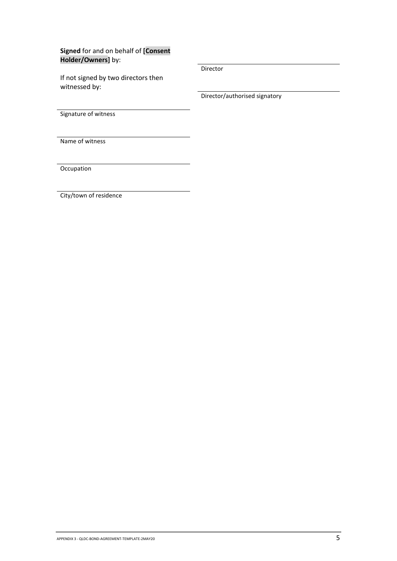**Signed** for and on behalf of **[Consent Holder/Owners]** by:

If not signed by two directors then witnessed by:

Director

Director/authorised signatory

Signature of witness

Name of witness

**Occupation** 

City/town of residence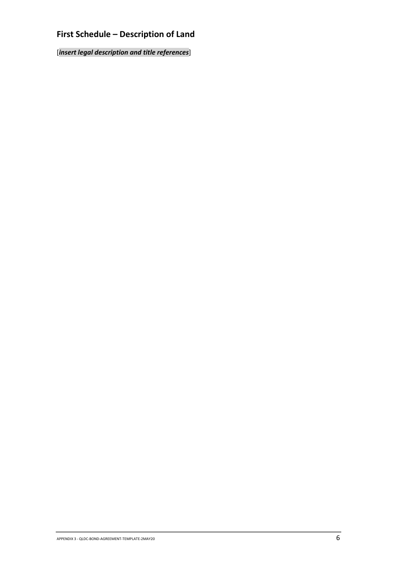# **First Schedule – Description of Land**

[*insert legal description and title references*]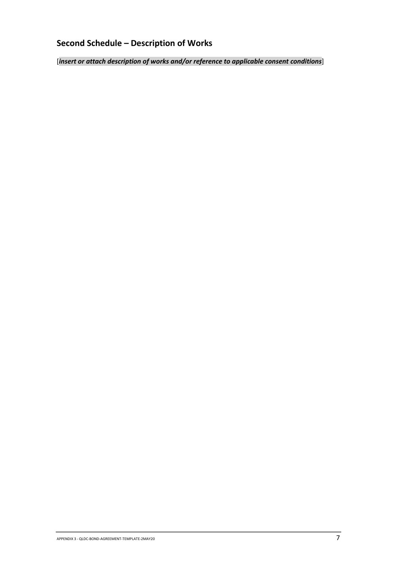# **Second Schedule – Description of Works**

[*insert or attach description of works and/or reference to applicable consent conditions*]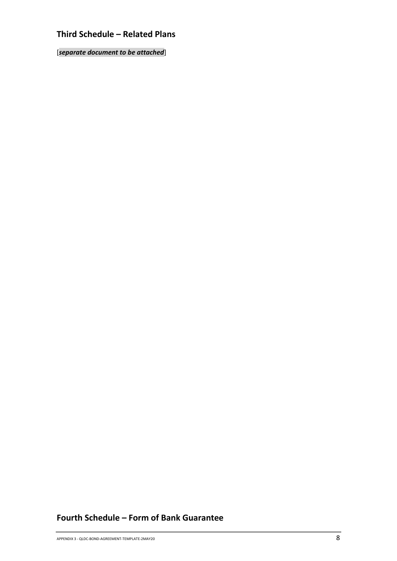# **Third Schedule – Related Plans**

[*separate document to be attached*]

# **Fourth Schedule – Form of Bank Guarantee**